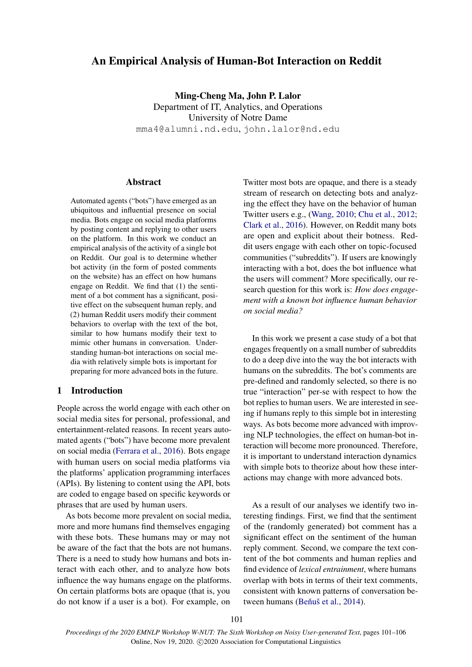# An Empirical Analysis of Human-Bot Interaction on Reddit

Ming-Cheng Ma, John P. Lalor

Department of IT, Analytics, and Operations University of Notre Dame mma4@alumni.nd.edu, john.lalor@nd.edu

## Abstract

Automated agents ("bots") have emerged as an ubiquitous and influential presence on social media. Bots engage on social media platforms by posting content and replying to other users on the platform. In this work we conduct an empirical analysis of the activity of a single bot on Reddit. Our goal is to determine whether bot activity (in the form of posted comments on the website) has an effect on how humans engage on Reddit. We find that (1) the sentiment of a bot comment has a significant, positive effect on the subsequent human reply, and (2) human Reddit users modify their comment behaviors to overlap with the text of the bot, similar to how humans modify their text to mimic other humans in conversation. Understanding human-bot interactions on social media with relatively simple bots is important for preparing for more advanced bots in the future.

## 1 Introduction

People across the world engage with each other on social media sites for personal, professional, and entertainment-related reasons. In recent years automated agents ("bots") have become more prevalent on social media [\(Ferrara et al.,](#page-5-0) [2016\)](#page-5-0). Bots engage with human users on social media platforms via the platforms' application programming interfaces (APIs). By listening to content using the API, bots are coded to engage based on specific keywords or phrases that are used by human users.

As bots become more prevalent on social media, more and more humans find themselves engaging with these bots. These humans may or may not be aware of the fact that the bots are not humans. There is a need to study how humans and bots interact with each other, and to analyze how bots influence the way humans engage on the platforms. On certain platforms bots are opaque (that is, you do not know if a user is a bot). For example, on

Twitter most bots are opaque, and there is a steady stream of research on detecting bots and analyzing the effect they have on the behavior of human Twitter users e.g., [\(Wang,](#page-5-1) [2010;](#page-5-1) [Chu et al.,](#page-4-0) [2012;](#page-4-0) [Clark et al.,](#page-4-1) [2016\)](#page-4-1). However, on Reddit many bots are open and explicit about their botness. Reddit users engage with each other on topic-focused communities ("subreddits"). If users are knowingly interacting with a bot, does the bot influence what the users will comment? More specifically, our research question for this work is: *How does engagement with a known bot influence human behavior on social media?*

In this work we present a case study of a bot that engages frequently on a small number of subreddits to do a deep dive into the way the bot interacts with humans on the subreddits. The bot's comments are pre-defined and randomly selected, so there is no true "interaction" per-se with respect to how the bot replies to human users. We are interested in seeing if humans reply to this simple bot in interesting ways. As bots become more advanced with improving NLP technologies, the effect on human-bot interaction will become more pronounced. Therefore, it is important to understand interaction dynamics with simple bots to theorize about how these interactions may change with more advanced bots.

As a result of our analyses we identify two interesting findings. First, we find that the sentiment of the (randomly generated) bot comment has a significant effect on the sentiment of the human reply comment. Second, we compare the text content of the bot comments and human replies and find evidence of *lexical entrainment*, where humans overlap with bots in terms of their text comments, consistent with known patterns of conversation be-tween humans (Beňuš et al., [2014\)](#page-4-2).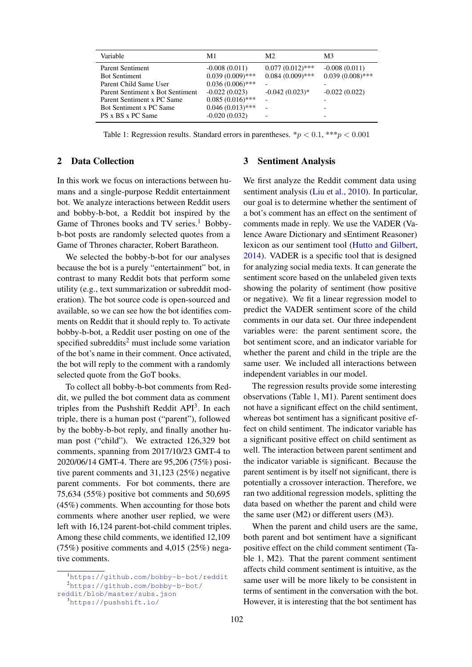<span id="page-1-3"></span>

| Variable                                       | M1                                       | M <sub>2</sub>     | M <sub>3</sub>                                       |
|------------------------------------------------|------------------------------------------|--------------------|------------------------------------------------------|
| <b>Parent Sentiment</b>                        | $-0.008(0.011)$                          | $0.077(0.012)$ *** | $-0.008(0.011)$                                      |
| <b>Bot Sentiment</b><br>Parent Child Same User | $0.039(0.009)$ ***<br>$0.036(0.006)$ *** | $0.084(0.009)$ *** | $0.039(0.008)$ ***<br>$\overline{\phantom{0}}$       |
| Parent Sentiment x Bot Sentiment               | $-0.022(0.023)$                          | $-0.042(0.023)*$   | $-0.022(0.022)$                                      |
| Parent Sentiment x PC Same                     | $0.085(0.016)$ ***                       |                    | $\overline{\phantom{0}}$                             |
| Bot Sentiment x PC Same<br>PS x BS x PC Same   | $0.046(0.013)$ ***<br>$-0.020(0.032)$    |                    | $\overline{\phantom{0}}$<br>$\overline{\phantom{0}}$ |

Table 1: Regression results. Standard errors in parentheses.  $\gamma p < 0.1$ ,  $\gamma \gamma p < 0.001$ 

## 2 Data Collection

In this work we focus on interactions between humans and a single-purpose Reddit entertainment bot. We analyze interactions between Reddit users and bobby-b-bot, a Reddit bot inspired by the Game of Thrones books and TV series.<sup>[1](#page-1-0)</sup> Bobbyb-bot posts are randomly selected quotes from a Game of Thrones character, Robert Baratheon.

We selected the bobby-b-bot for our analyses because the bot is a purely "entertainment" bot, in contrast to many Reddit bots that perform some utility (e.g., text summarization or subreddit moderation). The bot source code is open-sourced and available, so we can see how the bot identifies comments on Reddit that it should reply to. To activate bobby-b-bot, a Reddit user posting on one of the specified subreddits<sup>[2](#page-1-1)</sup> must include some variation of the bot's name in their comment. Once activated, the bot will reply to the comment with a randomly selected quote from the GoT books.

To collect all bobby-b-bot comments from Reddit, we pulled the bot comment data as comment triples from the Pushshift Reddit  $API<sup>3</sup>$  $API<sup>3</sup>$  $API<sup>3</sup>$ . In each triple, there is a human post ("parent"), followed by the bobby-b-bot reply, and finally another human post ("child"). We extracted 126,329 bot comments, spanning from 2017/10/23 GMT-4 to 2020/06/14 GMT-4. There are 95,206 (75%) positive parent comments and 31,123 (25%) negative parent comments. For bot comments, there are 75,634 (55%) positive bot comments and 50,695 (45%) comments. When accounting for those bots comments where another user replied, we were left with 16,124 parent-bot-child comment triples. Among these child comments, we identified 12,109 (75%) positive comments and 4,015 (25%) negative comments.

#### 3 Sentiment Analysis

We first analyze the Reddit comment data using sentiment analysis [\(Liu et al.,](#page-5-2) [2010\)](#page-5-2). In particular, our goal is to determine whether the sentiment of a bot's comment has an effect on the sentiment of comments made in reply. We use the VADER (Valence Aware Dictionary and sEntiment Reasoner) lexicon as our sentiment tool [\(Hutto and Gilbert,](#page-5-3) [2014\)](#page-5-3). VADER is a specific tool that is designed for analyzing social media texts. It can generate the sentiment score based on the unlabeled given texts showing the polarity of sentiment (how positive or negative). We fit a linear regression model to predict the VADER sentiment score of the child comments in our data set. Our three independent variables were: the parent sentiment score, the bot sentiment score, and an indicator variable for whether the parent and child in the triple are the same user. We included all interactions between independent variables in our model.

The regression results provide some interesting observations (Table [1,](#page-1-3) M1). Parent sentiment does not have a significant effect on the child sentiment, whereas bot sentiment has a significant positive effect on child sentiment. The indicator variable has a significant positive effect on child sentiment as well. The interaction between parent sentiment and the indicator variable is significant. Because the parent sentiment is by itself not significant, there is potentially a crossover interaction. Therefore, we ran two additional regression models, splitting the data based on whether the parent and child were the same user (M2) or different users (M3).

When the parent and child users are the same, both parent and bot sentiment have a significant positive effect on the child comment sentiment (Table [1,](#page-1-3) M2). That the parent comment sentiment affects child comment sentiment is intuitive, as the same user will be more likely to be consistent in terms of sentiment in the conversation with the bot. However, it is interesting that the bot sentiment has

<span id="page-1-1"></span><span id="page-1-0"></span><sup>1</sup><https://github.com/bobby-b-bot/reddit> <sup>2</sup>[https://github.com/bobby-b-bot/](https://github.com/bobby-b-bot/reddit/blob/master/subs.json)

[reddit/blob/master/subs.json](https://github.com/bobby-b-bot/reddit/blob/master/subs.json)

<span id="page-1-2"></span><sup>3</sup><https://pushshift.io/>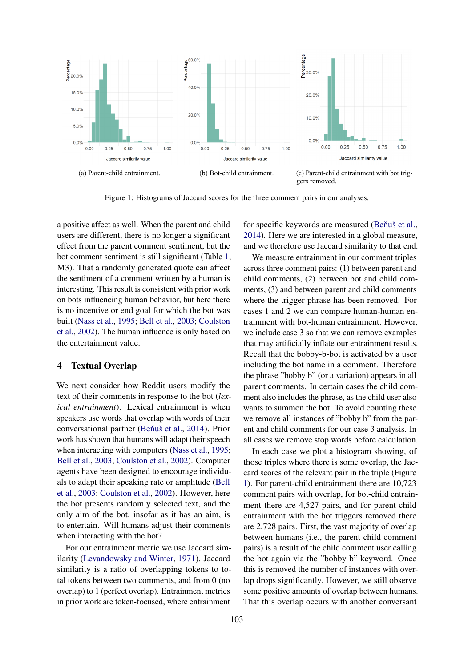<span id="page-2-0"></span>

Figure 1: Histograms of Jaccard scores for the three comment pairs in our analyses.

a positive affect as well. When the parent and child users are different, there is no longer a significant effect from the parent comment sentiment, but the bot comment sentiment is still significant (Table [1,](#page-1-3) M3). That a randomly generated quote can affect the sentiment of a comment written by a human is interesting. This result is consistent with prior work on bots influencing human behavior, but here there is no incentive or end goal for which the bot was built [\(Nass et al.,](#page-5-4) [1995;](#page-5-4) [Bell et al.,](#page-4-3) [2003;](#page-4-3) [Coulston](#page-4-4) [et al.,](#page-4-4) [2002\)](#page-4-4). The human influence is only based on the entertainment value.

#### 4 Textual Overlap

We next consider how Reddit users modify the text of their comments in response to the bot (*lexical entrainment*). Lexical entrainment is when speakers use words that overlap with words of their conversational partner (Beňuš et al., [2014\)](#page-4-2). Prior work has shown that humans will adapt their speech when interacting with computers [\(Nass et al.,](#page-5-4) [1995;](#page-5-4) [Bell et al.,](#page-4-3) [2003;](#page-4-3) [Coulston et al.,](#page-4-4) [2002\)](#page-4-4). Computer agents have been designed to encourage individuals to adapt their speaking rate or amplitude [\(Bell](#page-4-3) [et al.,](#page-4-3) [2003;](#page-4-3) [Coulston et al.,](#page-4-4) [2002\)](#page-4-4). However, here the bot presents randomly selected text, and the only aim of the bot, insofar as it has an aim, is to entertain. Will humans adjust their comments when interacting with the bot?

For our entrainment metric we use Jaccard similarity [\(Levandowsky and Winter,](#page-5-5) [1971\)](#page-5-5). Jaccard similarity is a ratio of overlapping tokens to total tokens between two comments, and from 0 (no overlap) to 1 (perfect overlap). Entrainment metrics in prior work are token-focused, where entrainment

for specific keywords are measured (Beňuš et al., [2014\)](#page-4-2). Here we are interested in a global measure, and we therefore use Jaccard similarity to that end.

We measure entrainment in our comment triples across three comment pairs: (1) between parent and child comments, (2) between bot and child comments, (3) and between parent and child comments where the trigger phrase has been removed. For cases 1 and 2 we can compare human-human entrainment with bot-human entrainment. However, we include case 3 so that we can remove examples that may artificially inflate our entrainment results. Recall that the bobby-b-bot is activated by a user including the bot name in a comment. Therefore the phrase "bobby b" (or a variation) appears in all parent comments. In certain cases the child comment also includes the phrase, as the child user also wants to summon the bot. To avoid counting these we remove all instances of "bobby b" from the parent and child comments for our case 3 analysis. In all cases we remove stop words before calculation.

In each case we plot a histogram showing, of those triples where there is some overlap, the Jaccard scores of the relevant pair in the triple (Figure [1\)](#page-2-0). For parent-child entrainment there are 10,723 comment pairs with overlap, for bot-child entrainment there are 4,527 pairs, and for parent-child entrainment with the bot triggers removed there are 2,728 pairs. First, the vast majority of overlap between humans (i.e., the parent-child comment pairs) is a result of the child comment user calling the bot again via the "bobby b" keyword. Once this is removed the number of instances with overlap drops significantly. However, we still observe some positive amounts of overlap between humans. That this overlap occurs with another conversant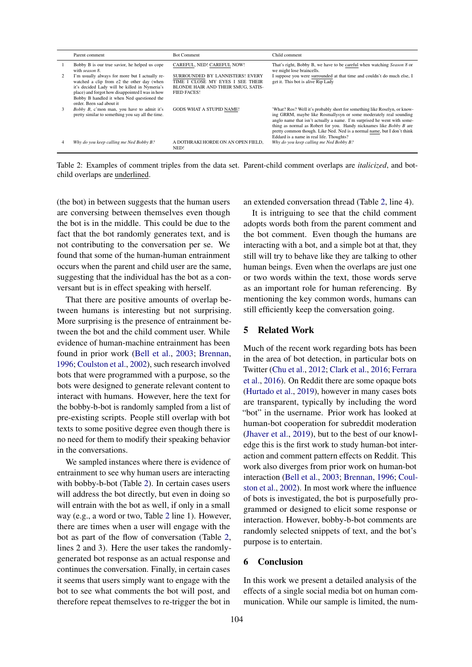<span id="page-3-0"></span>

| Parent comment                                                                                                                                                                                                                                                             | <b>Bot Comment</b>                                                                                                                     | Child comment                                                                                                                                                                                                                                                                                                                                                                                                                  |
|----------------------------------------------------------------------------------------------------------------------------------------------------------------------------------------------------------------------------------------------------------------------------|----------------------------------------------------------------------------------------------------------------------------------------|--------------------------------------------------------------------------------------------------------------------------------------------------------------------------------------------------------------------------------------------------------------------------------------------------------------------------------------------------------------------------------------------------------------------------------|
| Bobby B is our true savior, he helped us cope<br>with season 8.                                                                                                                                                                                                            | CAREFUL, NED! CAREFUL NOW!                                                                                                             | That's right, Bobby B, we have to be careful when watching Season 8 or<br>we might lose braincells.                                                                                                                                                                                                                                                                                                                            |
| I'm usually always for more but I actually re-<br>watched a clip from e2 the other day (when<br>it's decided Lady will be killed in Nymeria's<br>place) and forgot how disappointed I was in how<br>Bobby B handled it when Ned questioned the<br>order. Been sad about it | SURROUNDED BY LANNISTERS! EVERY<br>TIME I CLOSE MY EYES I SEE THEIR<br><b>BLONDE HAIR AND THEIR SMUG. SATIS-</b><br><b>FIED FACES!</b> | I suppose you were surrounded at that time and couldn't do much else, I<br>get it. This bot is alive Rip Lady                                                                                                                                                                                                                                                                                                                  |
| <i>Bobby B</i> , c'mon man, you have to admit it's<br>pretty similar to something you say all the time.                                                                                                                                                                    | <b>GODS WHAT A STUPID NAME!</b>                                                                                                        | 'What? Ros? Well it's probably short for something like Roselyn, or know-<br>ing GRRM, maybe like Rosmallysyn or some moderately real sounding<br>anglo name that isn't actually a name. I'm surprised he went with some-<br>thing as normal as Robert for you. Handy nicknames like <i>Bobby B</i> are<br>pretty common though. Like Ned. Ned is a normal name, but I don't think<br>Eddard is a name in real life. Thoughts? |
| Why do you keep calling me Ned Bobby B?                                                                                                                                                                                                                                    | A DOTHRAKI HORDE ON AN OPEN FIELD.<br>NED!                                                                                             | Why do you keep calling me Ned Bobby B?                                                                                                                                                                                                                                                                                                                                                                                        |

Table 2: Examples of comment triples from the data set. Parent-child comment overlaps are *italicized*, and botchild overlaps are underlined.

(the bot) in between suggests that the human users are conversing between themselves even though the bot is in the middle. This could be due to the fact that the bot randomly generates text, and is not contributing to the conversation per se. We found that some of the human-human entrainment occurs when the parent and child user are the same, suggesting that the individual has the bot as a conversant but is in effect speaking with herself.

That there are positive amounts of overlap between humans is interesting but not surprising. More surprising is the presence of entrainment between the bot and the child comment user. While evidence of human-machine entrainment has been found in prior work [\(Bell et al.,](#page-4-3) [2003;](#page-4-3) [Brennan,](#page-4-5) [1996;](#page-4-5) [Coulston et al.,](#page-4-4) [2002\)](#page-4-4), such research involved bots that were programmed with a purpose, so the bots were designed to generate relevant content to interact with humans. However, here the text for the bobby-b-bot is randomly sampled from a list of pre-existing scripts. People still overlap with bot texts to some positive degree even though there is no need for them to modify their speaking behavior in the conversations.

We sampled instances where there is evidence of entrainment to see why human users are interacting with bobby-b-bot (Table [2\)](#page-3-0). In certain cases users will address the bot directly, but even in doing so will entrain with the bot as well, if only in a small way (e.g., a word or two, Table [2](#page-3-0) line 1). However, there are times when a user will engage with the bot as part of the flow of conversation (Table [2,](#page-3-0) lines 2 and 3). Here the user takes the randomlygenerated bot response as an actual response and continues the conversation. Finally, in certain cases it seems that users simply want to engage with the bot to see what comments the bot will post, and therefore repeat themselves to re-trigger the bot in

an extended conversation thread (Table [2,](#page-3-0) line 4).

It is intriguing to see that the child comment adopts words both from the parent comment and the bot comment. Even though the humans are interacting with a bot, and a simple bot at that, they still will try to behave like they are talking to other human beings. Even when the overlaps are just one or two words within the text, those words serve as an important role for human referencing. By mentioning the key common words, humans can still efficiently keep the conversation going.

#### 5 Related Work

Much of the recent work regarding bots has been in the area of bot detection, in particular bots on Twitter [\(Chu et al.,](#page-4-0) [2012;](#page-4-0) [Clark et al.,](#page-4-1) [2016;](#page-4-1) [Ferrara](#page-5-0) [et al.,](#page-5-0) [2016\)](#page-5-0). On Reddit there are some opaque bots [\(Hurtado et al.,](#page-5-6) [2019\)](#page-5-6), however in many cases bots are transparent, typically by including the word "bot" in the username. Prior work has looked at human-bot cooperation for subreddit moderation [\(Jhaver et al.,](#page-5-7) [2019\)](#page-5-7), but to the best of our knowledge this is the first work to study human-bot interaction and comment pattern effects on Reddit. This work also diverges from prior work on human-bot interaction [\(Bell et al.,](#page-4-3) [2003;](#page-4-3) [Brennan,](#page-4-5) [1996;](#page-4-5) [Coul](#page-4-4)[ston et al.,](#page-4-4) [2002\)](#page-4-4). In most work where the influence of bots is investigated, the bot is purposefully programmed or designed to elicit some response or interaction. However, bobby-b-bot comments are randomly selected snippets of text, and the bot's purpose is to entertain.

#### 6 Conclusion

In this work we present a detailed analysis of the effects of a single social media bot on human communication. While our sample is limited, the num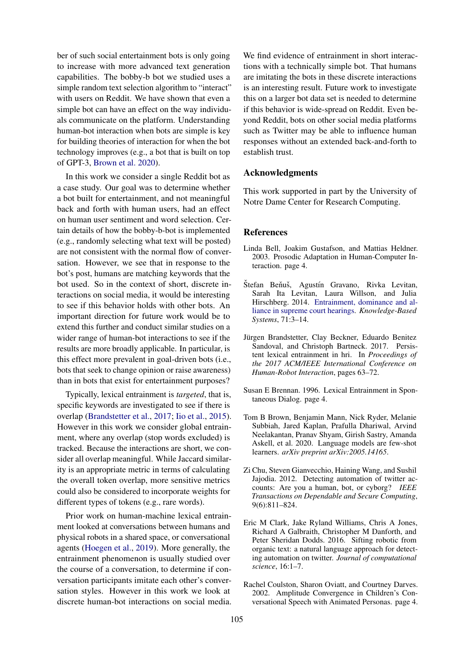ber of such social entertainment bots is only going to increase with more advanced text generation capabilities. The bobby-b bot we studied uses a simple random text selection algorithm to "interact" with users on Reddit. We have shown that even a simple bot can have an effect on the way individuals communicate on the platform. Understanding human-bot interaction when bots are simple is key for building theories of interaction for when the bot technology improves (e.g., a bot that is built on top of GPT-3, [Brown et al.](#page-4-6) [2020\)](#page-4-6).

In this work we consider a single Reddit bot as a case study. Our goal was to determine whether a bot built for entertainment, and not meaningful back and forth with human users, had an effect on human user sentiment and word selection. Certain details of how the bobby-b-bot is implemented (e.g., randomly selecting what text will be posted) are not consistent with the normal flow of conversation. However, we see that in response to the bot's post, humans are matching keywords that the bot used. So in the context of short, discrete interactions on social media, it would be interesting to see if this behavior holds with other bots. An important direction for future work would be to extend this further and conduct similar studies on a wider range of human-bot interactions to see if the results are more broadly applicable. In particular, is this effect more prevalent in goal-driven bots (i.e., bots that seek to change opinion or raise awareness) than in bots that exist for entertainment purposes?

Typically, lexical entrainment is *targeted*, that is, specific keywords are investigated to see if there is overlap [\(Brandstetter et al.,](#page-4-7) [2017;](#page-4-7) [Iio et al.,](#page-5-8) [2015\)](#page-5-8). However in this work we consider global entrainment, where any overlap (stop words excluded) is tracked. Because the interactions are short, we consider all overlap meaningful. While Jaccard similarity is an appropriate metric in terms of calculating the overall token overlap, more sensitive metrics could also be considered to incorporate weights for different types of tokens (e.g., rare words).

Prior work on human-machine lexical entrainment looked at conversations between humans and physical robots in a shared space, or conversational agents [\(Hoegen et al.,](#page-5-9) [2019\)](#page-5-9). More generally, the entrainment phenomenon is usually studied over the course of a conversation, to determine if conversation participants imitate each other's conversation styles. However in this work we look at discrete human-bot interactions on social media. We find evidence of entrainment in short interactions with a technically simple bot. That humans are imitating the bots in these discrete interactions is an interesting result. Future work to investigate this on a larger bot data set is needed to determine if this behavior is wide-spread on Reddit. Even beyond Reddit, bots on other social media platforms such as Twitter may be able to influence human responses without an extended back-and-forth to establish trust.

#### Acknowledgments

This work supported in part by the University of Notre Dame Center for Research Computing.

## References

- <span id="page-4-3"></span>Linda Bell, Joakim Gustafson, and Mattias Heldner. 2003. Prosodic Adaptation in Human-Computer Interaction. page 4.
- <span id="page-4-2"></span>Štefan Beňuš, Agustín Gravano, Rivka Levitan, Sarah Ita Levitan, Laura Willson, and Julia Hirschberg. 2014. [Entrainment, dominance and al](https://doi.org/10.1016/j.knosys.2014.05.020)[liance in supreme court hearings.](https://doi.org/10.1016/j.knosys.2014.05.020) *Knowledge-Based Systems*, 71:3–14.
- <span id="page-4-7"></span>Jürgen Brandstetter, Clay Beckner, Eduardo Benitez Sandoval, and Christoph Bartneck. 2017. Persistent lexical entrainment in hri. In *Proceedings of the 2017 ACM/IEEE International Conference on Human-Robot Interaction*, pages 63–72.
- <span id="page-4-5"></span>Susan E Brennan. 1996. Lexical Entrainment in Spontaneous Dialog. page 4.
- <span id="page-4-6"></span>Tom B Brown, Benjamin Mann, Nick Ryder, Melanie Subbiah, Jared Kaplan, Prafulla Dhariwal, Arvind Neelakantan, Pranav Shyam, Girish Sastry, Amanda Askell, et al. 2020. Language models are few-shot learners. *arXiv preprint arXiv:2005.14165*.
- <span id="page-4-0"></span>Zi Chu, Steven Gianvecchio, Haining Wang, and Sushil Jajodia. 2012. Detecting automation of twitter accounts: Are you a human, bot, or cyborg? *IEEE Transactions on Dependable and Secure Computing*, 9(6):811–824.
- <span id="page-4-1"></span>Eric M Clark, Jake Ryland Williams, Chris A Jones, Richard A Galbraith, Christopher M Danforth, and Peter Sheridan Dodds. 2016. Sifting robotic from organic text: a natural language approach for detecting automation on twitter. *Journal of computational science*, 16:1–7.
- <span id="page-4-4"></span>Rachel Coulston, Sharon Oviatt, and Courtney Darves. 2002. Amplitude Convergence in Children's Conversational Speech with Animated Personas. page 4.